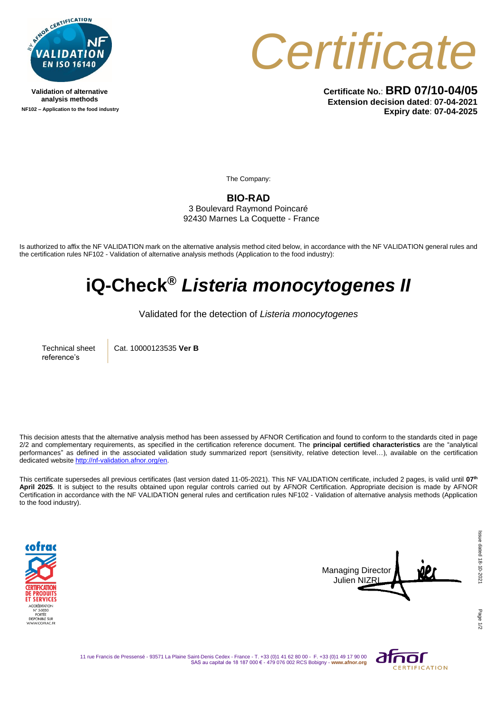

**Validation of alternative analysis methods NF102 – Application to the food industry** *Certificate*

**Certificate No.**: **BRD 07/10-04/05 Extension decision dated**: **07-04-2021 Expiry date**: **07-04-2025**

The Company:

**BIO-RAD**

3 Boulevard Raymond Poincaré 92430 Marnes La Coquette - France

Is authorized to affix the NF VALIDATION mark on the alternative analysis method cited below, in accordance with the NF VALIDATION general rules and the certification rules NF102 - Validation of alternative analysis methods (Application to the food industry):

## **iQ-Check®** *Listeria monocytogenes II*

Validated for the detection of *Listeria monocytogenes*

Technical sheet reference's

Cat. 10000123535 **Ver B**

This decision attests that the alternative analysis method has been assessed by AFNOR Certification and found to conform to the standards cited in page 2/2 and complementary requirements, as specified in the certification reference document. The **principal certified characteristics** are the "analytical performances" as defined in the associated validation study summarized report (sensitivity, relative detection level…), available on the certification dedicated websit[e http://nf-validation.afnor.org/en.](http://nf-validation.afnor.org/en)

This certificate supersedes all previous certificates (last version dated 11-05-2021). This NF VALIDATION certificate, included 2 pages, is valid until **07 th April 2025**. It is subject to the results obtained upon regular controls carried out by AFNOR Certification. Appropriate decision is made by AFNOR Certification in accordance with the NF VALIDATION general rules and certification rules NF102 - Validation of alternative analysis methods (Application to the food industry).





11 rue Francis de Pressensé - 93571 La Plaine Saint-Denis Cedex - France - T. +33 (0)1 41 62 80 00 - F. +33 (0)1 49 17 90 00 SAS au capital de 18 187 000 € - 479 076 002 RCS Bobigny - **www.afnor.org**